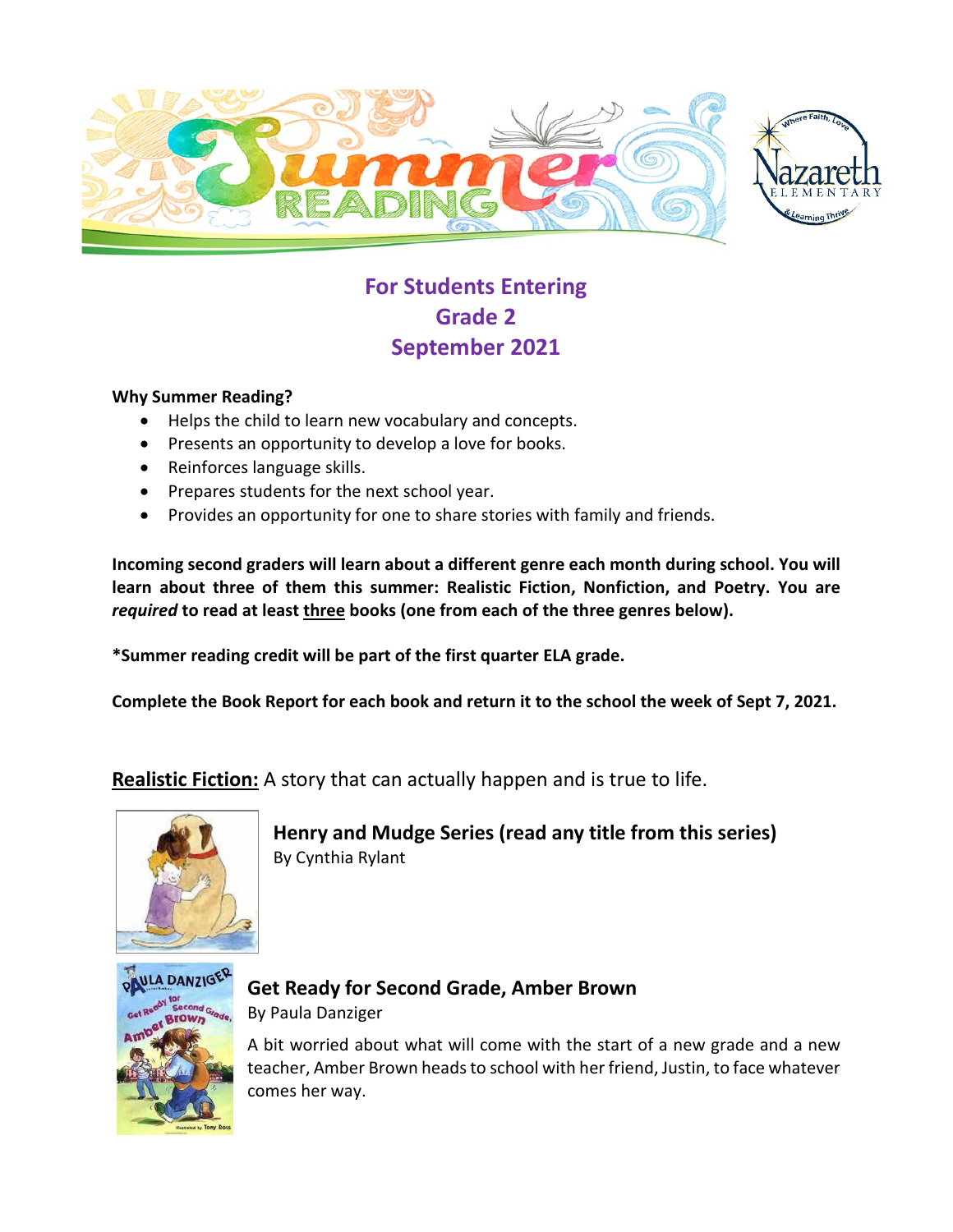

# **For Students Entering Grade 2 September 2021**

### **Why Summer Reading?**

- Helps the child to learn new vocabulary and concepts.
- Presents an opportunity to develop a love for books.
- Reinforces language skills.
- Prepares students for the next school year.
- Provides an opportunity for one to share stories with family and friends.

**Incoming second graders will learn about a different genre each month during school. You will learn about three of them this summer: Realistic Fiction, Nonfiction, and Poetry. You are**  *required* **to read at least three books (one from each of the three genres below).**

**\*Summer reading credit will be part of the first quarter ELA grade.**

**Complete the Book Report for each book and return it to the school the week of Sept 7, 2021.**

**Realistic Fiction:** A story that can actually happen and is true to life.



**Henry and Mudge Series (read any title from this series)** By Cynthia Rylant



**Get Ready for Second Grade, Amber Brown** By Paula Danziger

A bit worried about what will come with the start of a new grade and a new teacher, Amber Brown heads to school with her friend, Justin, to face whatever comes her way.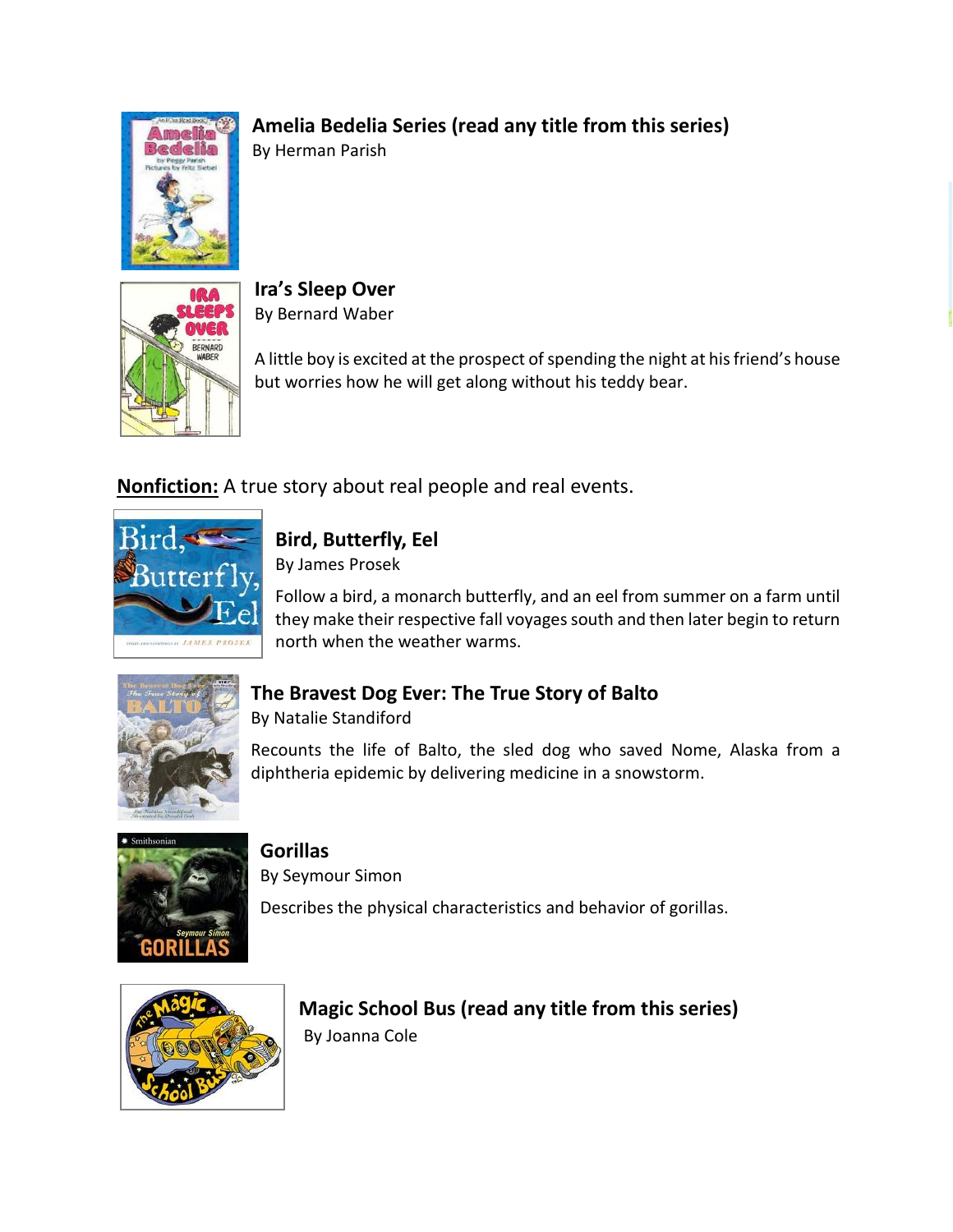## **Amelia Bedelia Series (read any title from this series)**



By Herman Parish



**Ira's Sleep Over** By Bernard Waber

A little boy is excited at the prospect of spending the night at his friend's house but worries how he will get along without his teddy bear.

**Nonfiction:** A true story about real people and real events.



### **Bird, Butterfly, Eel**

By James Prosek

Follow a bird, a monarch butterfly, and an eel from summer on a farm until they make their respective fall voyages south and then later begin to return north when the weather warms.



## **The Bravest Dog Ever: The True Story of Balto**

By Natalie Standiford

Recounts the life of Balto, the sled dog who saved Nome, Alaska from a diphtheria epidemic by delivering medicine in a snowstorm.



**Gorillas** 

By Seymour Simon

Describes the physical characteristics and behavior of gorillas.



**Magic School Bus (read any title from this series)** By Joanna Cole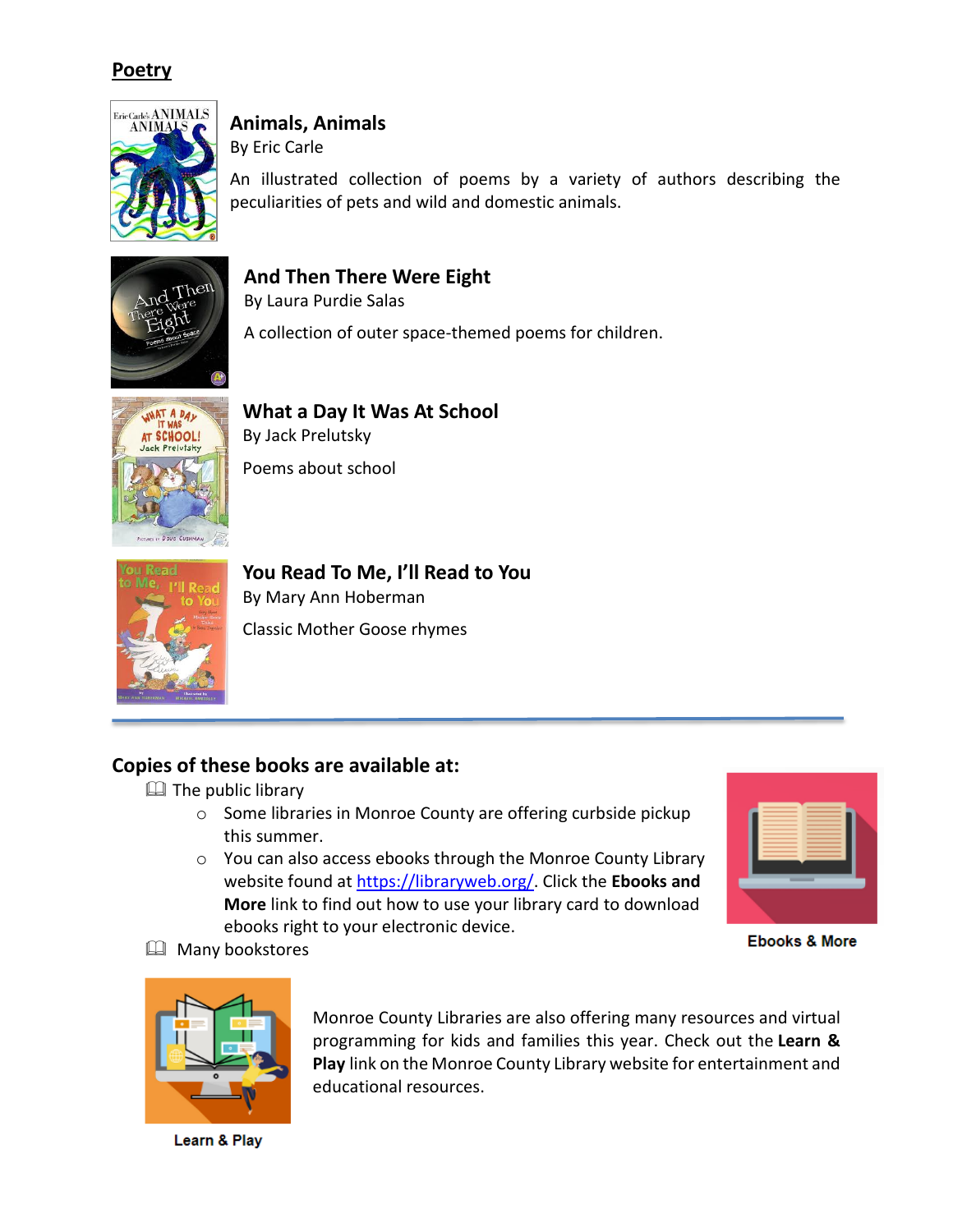### **Poetry**



## **Animals, Animals**

By Eric Carle

An illustrated collection of poems by a variety of authors describing the peculiarities of pets and wild and domestic animals.

### **And Then There Were Eight**

By Laura Purdie Salas

A collection of outer space-themed poems for children.



**What a Day It Was At School** By Jack Prelutsky Poems about school



**You Read To Me, I'll Read to You** By Mary Ann Hoberman Classic Mother Goose rhymes

## **Copies of these books are available at:**

 $\Box$  The public library

- o Some libraries in Monroe County are offering curbside pickup this summer.
- o You can also access ebooks through the Monroe County Library website found at [https://libraryweb.org/.](https://libraryweb.org/) Click the **Ebooks and More** link to find out how to use your library card to download ebooks right to your electronic device.



**Ebooks & More** 

**E** Many bookstores



Monroe County Libraries are also offering many resources and virtual programming for kids and families this year. Check out the **Learn & Play** link on the Monroe County Library website for entertainment and educational resources.

Learn & Play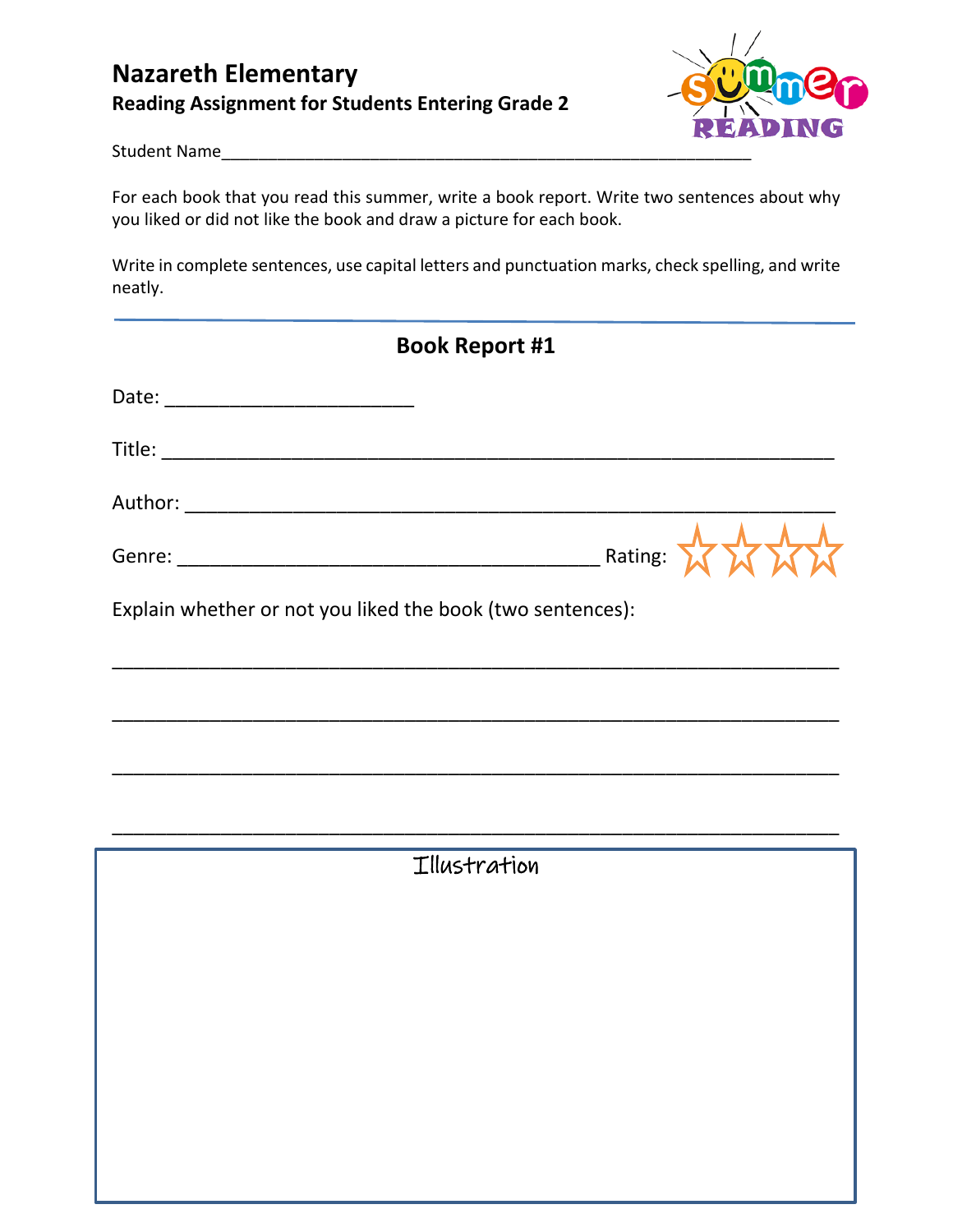## **Nazareth Elementary Reading Assignment for Students Entering Grade 2**



Student Name\_\_\_

For each book that you read this summer, write a book report. Write two sentences about why you liked or did not like the book and draw a picture for each book.

Write in complete sentences, use capital letters and punctuation marks, check spelling, and write neatly.

|                                                            | <b>Book Report #1</b> |
|------------------------------------------------------------|-----------------------|
|                                                            |                       |
|                                                            |                       |
|                                                            |                       |
|                                                            | Rating:               |
| Explain whether or not you liked the book (two sentences): |                       |
|                                                            |                       |
|                                                            |                       |
|                                                            |                       |
|                                                            | Illustration          |
|                                                            |                       |
|                                                            |                       |
|                                                            |                       |
|                                                            |                       |
|                                                            |                       |
|                                                            |                       |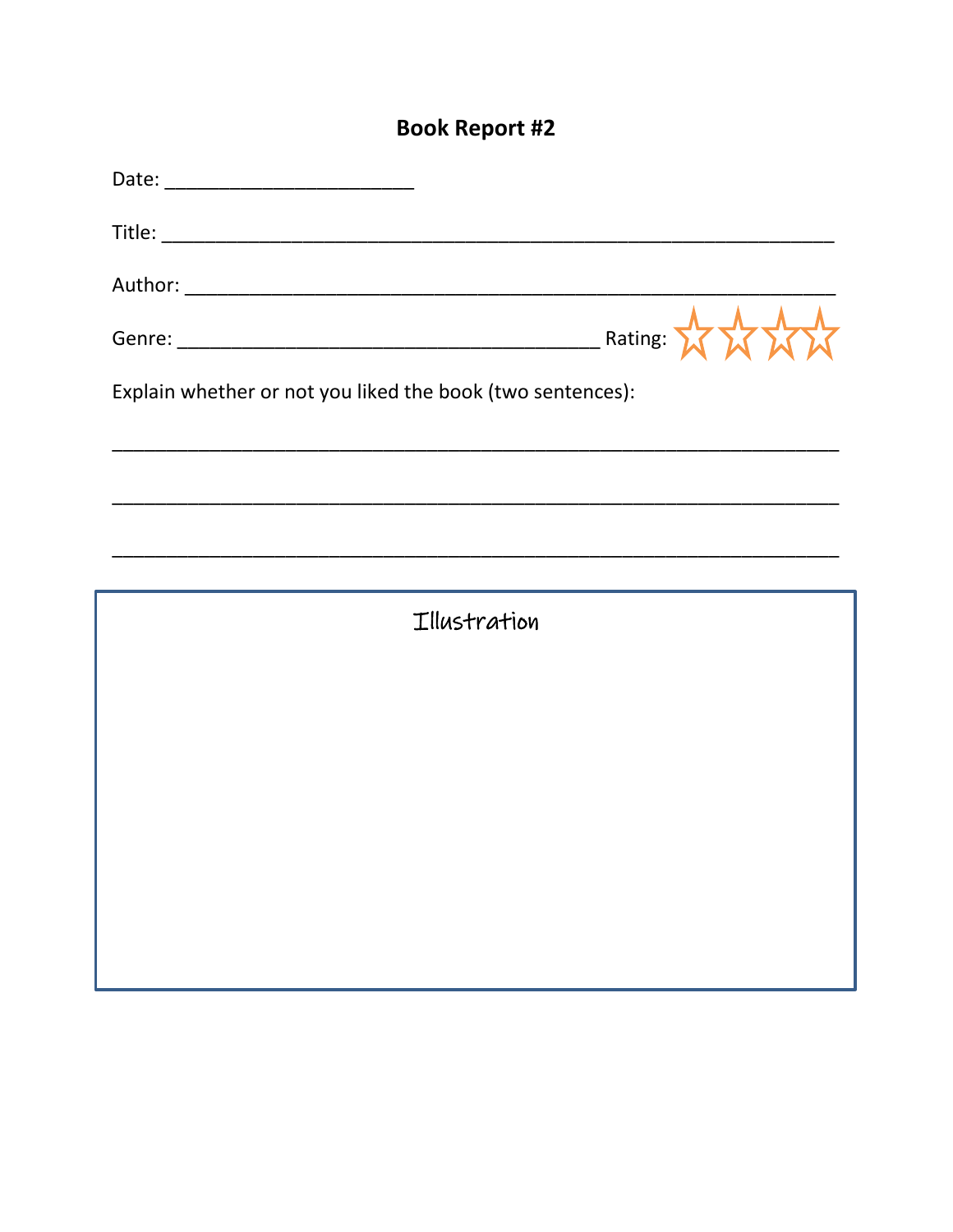# **Book Report #2**

| $R$ ating: $\frac{1}{2}$                                   |  |
|------------------------------------------------------------|--|
| Explain whether or not you liked the book (two sentences): |  |
|                                                            |  |
|                                                            |  |
|                                                            |  |
| Illustration                                               |  |
|                                                            |  |
|                                                            |  |
|                                                            |  |
|                                                            |  |
|                                                            |  |
|                                                            |  |
|                                                            |  |